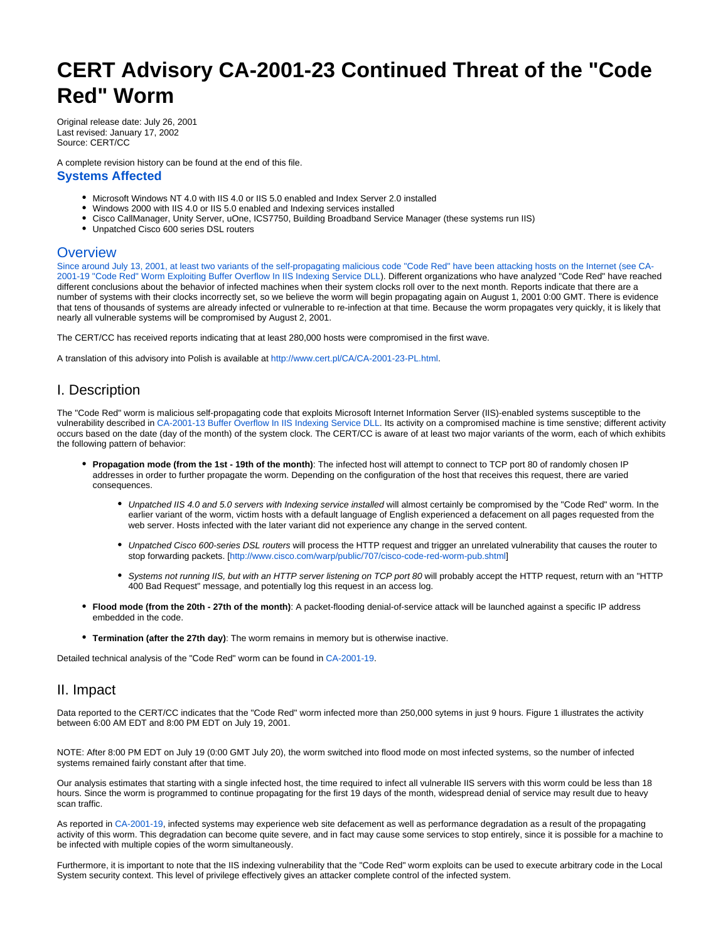# **CERT Advisory CA-2001-23 Continued Threat of the "Code Red" Worm**

Original release date: July 26, 2001 Last revised: January 17, 2002 Source: CERT/CC

A complete revision history can be found at the end of this file. **Systems Affected**

- $\bullet$  Microsoft Windows NT 4.0 with IIS 4.0 or IIS 5.0 enabled and Index Server 2.0 installed
- Windows 2000 with IIS 4.0 or IIS 5.0 enabled and Indexing services installed
- Cisco CallManager, Unity Server, uOne, ICS7750, Building Broadband Service Manager (these systems run IIS)
- Unpatched Cisco 600 series DSL routers

### **Overview**

Since around July 13, 2001, at least two variants of the self-propagating malicious code "Code Red" have been attacking hosts on the Internet (see [CA-](http://www.cert.org/advisories/CA-2001-19.html)[2001-19 "Code Red" Worm Exploiting Buffer Overflow In IIS Indexing Service DLL](http://www.cert.org/advisories/CA-2001-19.html)). Different organizations who have analyzed "Code Red" have reached different conclusions about the behavior of infected machines when their system clocks roll over to the next month. Reports indicate that there are a number of systems with their clocks incorrectly set, so we believe the worm will begin propagating again on August 1, 2001 0:00 GMT. There is evidence that tens of thousands of systems are already infected or vulnerable to re-infection at that time. Because the worm propagates very quickly, it is likely that nearly all vulnerable systems will be compromised by August 2, 2001.

The CERT/CC has received reports indicating that at least 280,000 hosts were compromised in the first wave.

A translation of this advisory into Polish is available at [http://www.cert.pl/CA/CA-2001-23-PL.html.](http://www.cert.pl/CA/CA-2001-23-PL.html)

## I. Description

The "Code Red" worm is malicious self-propagating code that exploits Microsoft Internet Information Server (IIS)-enabled systems susceptible to the vulnerability described in [CA-2001-13 Buffer Overflow In IIS Indexing Service DLL](http://www.cert.org/advisories/CA-2001-13.html). Its activity on a compromised machine is time senstive; different activity occurs based on the date (day of the month) of the system clock. The CERT/CC is aware of at least two major variants of the worm, each of which exhibits the following pattern of behavior:

- **Propagation mode (from the 1st 19th of the month)**: The infected host will attempt to connect to TCP port 80 of randomly chosen IP addresses in order to further propagate the worm. Depending on the configuration of the host that receives this request, there are varied consequences.
	- Unpatched IIS 4.0 and 5.0 servers with Indexing service installed will almost certainly be compromised by the "Code Red" worm. In the earlier variant of the worm, victim hosts with a default language of English experienced a defacement on all pages requested from the web server. Hosts infected with the later variant did not experience any change in the served content.
	- Unpatched Cisco 600-series DSL routers will process the HTTP request and trigger an unrelated vulnerability that causes the router to stop forwarding packets. [\[http://www.cisco.com/warp/public/707/cisco-code-red-worm-pub.shtml\]](http://www.cisco.com/warp/public/707/cisco-code-red-worm-pub.shtml)
	- Systems not running IIS, but with an HTTP server listening on TCP port 80 will probably accept the HTTP request, return with an "HTTP 400 Bad Request" message, and potentially log this request in an access log.
- **Flood mode (from the 20th 27th of the month)**: A packet-flooding denial-of-service attack will be launched against a specific IP address embedded in the code.
- **Termination (after the 27th day)**: The worm remains in memory but is otherwise inactive.

Detailed technical analysis of the "Code Red" worm can be found in [CA-2001-19.](http://www.cert.org/advisories/CA-2001-19.html)

## II. Impact

Data reported to the CERT/CC indicates that the "Code Red" worm infected more than 250,000 sytems in just 9 hours. Figure 1 illustrates the activity between 6:00 AM EDT and 8:00 PM EDT on July 19, 2001.

NOTE: After 8:00 PM EDT on July 19 (0:00 GMT July 20), the worm switched into flood mode on most infected systems, so the number of infected systems remained fairly constant after that time.

Our analysis estimates that starting with a single infected host, the time required to infect all vulnerable IIS servers with this worm could be less than 18 hours. Since the worm is programmed to continue propagating for the first 19 days of the month, widespread denial of service may result due to heavy scan traffic.

As reported in [CA-2001-19](http://www.cert.org/advisories/CA-2001-19.html), infected systems may experience web site defacement as well as performance degradation as a result of the propagating activity of this worm. This degradation can become quite severe, and in fact may cause some services to stop entirely, since it is possible for a machine to be infected with multiple copies of the worm simultaneously.

Furthermore, it is important to note that the IIS indexing vulnerability that the "Code Red" worm exploits can be used to execute arbitrary code in the Local System security context. This level of privilege effectively gives an attacker complete control of the infected system.